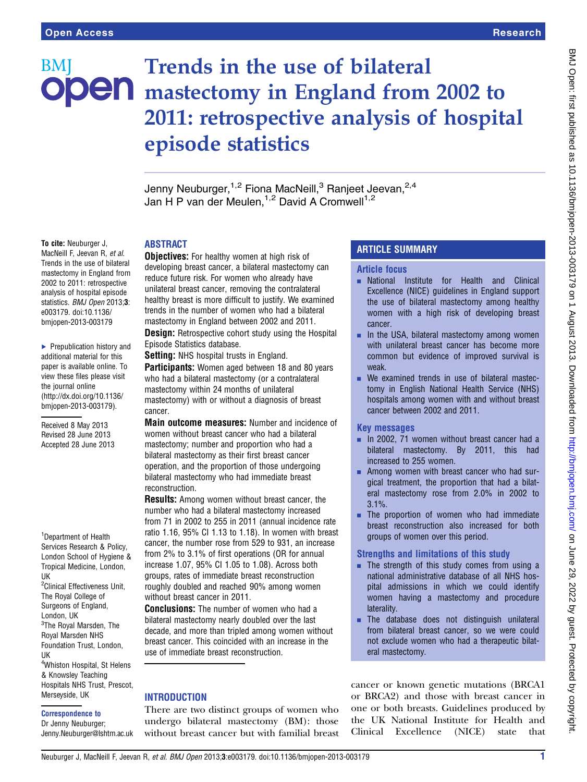BMI

To cite: Neuburger J, MacNeill F, Jeevan R, et al. Trends in the use of bilateral mastectomy in England from 2002 to 2011: retrospective analysis of hospital episode statistics. BMJ Open 2013:3: e003179. doi:10.1136/ bmjopen-2013-003179

▶ Prepublication history and additional material for this paper is available online. To view these files please visit the journal online [\(http://dx.doi.org/10.1136/](http://dx.doi.org/10.1136/bmjopen-2013-003179) [bmjopen-2013-003179](http://dx.doi.org/10.1136/bmjopen-2013-003179)). Received 8 May 2013 Revised 28 June 2013 Accepted 28 June 2013

# Trends in the use of bilateral **ODEN** mastectomy in England from 2002 to 2011: retrospective analysis of hospital episode statistics

Jenny Neuburger,<sup>1,2</sup> Fiona MacNeill,<sup>3</sup> Ranjeet Jeevan,<sup>2,4</sup> Jan H P van der Meulen,<sup>1,2</sup> David A Cromwell<sup>1,2</sup>

# ABSTRACT

**Objectives:** For healthy women at high risk of developing breast cancer, a bilateral mastectomy can reduce future risk. For women who already have unilateral breast cancer, removing the contralateral healthy breast is more difficult to justify. We examined trends in the number of women who had a bilateral mastectomy in England between 2002 and 2011. **Design:** Retrospective cohort study using the Hospital Episode Statistics database.

Setting: NHS hospital trusts in England.

**Participants:** Women aged between 18 and 80 years who had a bilateral mastectomy (or a contralateral mastectomy within 24 months of unilateral mastectomy) with or without a diagnosis of breast cancer.

Main outcome measures: Number and incidence of women without breast cancer who had a bilateral mastectomy; number and proportion who had a bilateral mastectomy as their first breast cancer operation, and the proportion of those undergoing bilateral mastectomy who had immediate breast reconstruction.

**Results:** Among women without breast cancer, the number who had a bilateral mastectomy increased from 71 in 2002 to 255 in 2011 (annual incidence rate ratio 1.16, 95% CI 1.13 to 1.18). In women with breast cancer, the number rose from 529 to 931, an increase from 2% to 3.1% of first operations (OR for annual increase 1.07, 95% CI 1.05 to 1.08). Across both groups, rates of immediate breast reconstruction roughly doubled and reached 90% among women without breast cancer in 2011.

**Conclusions:** The number of women who had a bilateral mastectomy nearly doubled over the last decade, and more than tripled among women without breast cancer. This coincided with an increase in the use of immediate breast reconstruction.

# **INTRODUCTION**

There are two distinct groups of women who undergo bilateral mastectomy (BM): those without breast cancer but with familial breast

# ARTICLE SUMMARY

#### Article focus

- National Institute for Health and Clinical Excellence (NICE) guidelines in England support the use of bilateral mastectomy among healthy women with a high risk of developing breast cancer.
- $\blacksquare$  In the USA, bilateral mastectomy among women with unilateral breast cancer has become more common but evidence of improved survival is weak.
- We examined trends in use of bilateral mastectomy in English National Health Service (NHS) hospitals among women with and without breast cancer between 2002 and 2011.

## Key messages

- **In 2002, 71 women without breast cancer had a** bilateral mastectomy. By 2011, this had increased to 255 women.
- **EXECUTE:** Among women with breast cancer who had surgical treatment, the proportion that had a bilateral mastectomy rose from 2.0% in 2002 to 3.1%.
- $\blacksquare$  The proportion of women who had immediate breast reconstruction also increased for both groups of women over this period.

# Strengths and limitations of this study

- $\blacksquare$  The strength of this study comes from using a national administrative database of all NHS hospital admissions in which we could identify women having a mastectomy and procedure laterality.
- The database does not distinguish unilateral from bilateral breast cancer, so we were could not exclude women who had a therapeutic bilateral mastectomy.

cancer or known genetic mutations (BRCA1 or BRCA2) and those with breast cancer in one or both breasts. Guidelines produced by the UK National Institute for Health and Clinical Excellence (NICE) state that

#### <sup>1</sup>Department of Health Services Research & Policy, London School of Hygiene &

Tropical Medicine, London, UK <sup>2</sup>Clinical Effectiveness Unit, The Royal College of Surgeons of England, London, UK <sup>3</sup>The Royal Marsden, The Royal Marsden NHS Foundation Trust, London, UK 4 Whiston Hospital, St Helens & Knowsley Teaching Hospitals NHS Trust, Prescot, Merseyside, UK

# Correspondence to

Dr Jenny Neuburger; Jenny.Neuburger@lshtm.ac.uk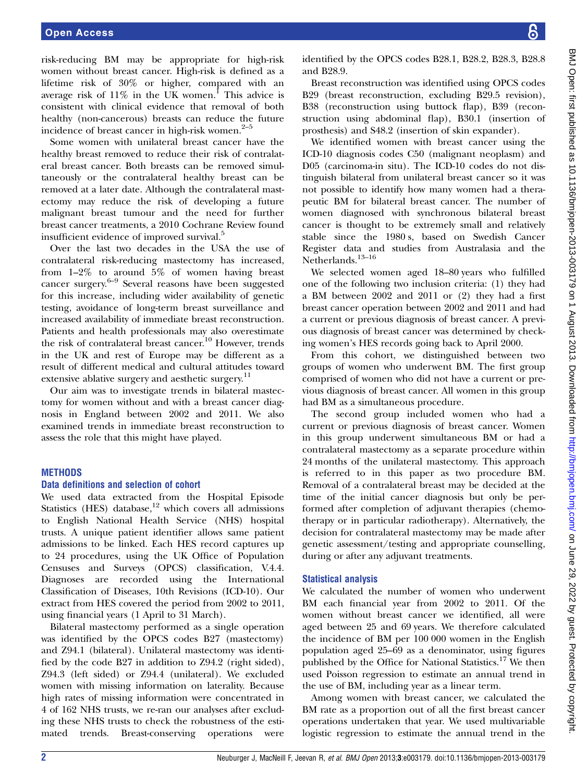risk-reducing BM may be appropriate for high-risk women without breast cancer. High-risk is defined as a lifetime risk of 30% or higher, compared with an average risk of  $11\%$  in the UK women.<sup>1</sup> This advice is consistent with clinical evidence that removal of both healthy (non-cancerous) breasts can reduce the future incidence of breast cancer in high-risk women. $2-5$ 

Some women with unilateral breast cancer have the healthy breast removed to reduce their risk of contralateral breast cancer. Both breasts can be removed simultaneously or the contralateral healthy breast can be removed at a later date. Although the contralateral mastectomy may reduce the risk of developing a future malignant breast tumour and the need for further breast cancer treatments, a 2010 Cochrane Review found insufficient evidence of improved survival.<sup>5</sup>

Over the last two decades in the USA the use of contralateral risk-reducing mastectomy has increased, from 1–2% to around 5% of women having breast cancer surgery. <sup>6</sup>–<sup>9</sup> Several reasons have been suggested for this increase, including wider availability of genetic testing, avoidance of long-term breast surveillance and increased availability of immediate breast reconstruction. Patients and health professionals may also overestimate the risk of contralateral breast cancer.<sup>10</sup> However, trends in the UK and rest of Europe may be different as a result of different medical and cultural attitudes toward extensive ablative surgery and aesthetic surgery.<sup>11</sup>

Our aim was to investigate trends in bilateral mastectomy for women without and with a breast cancer diagnosis in England between 2002 and 2011. We also examined trends in immediate breast reconstruction to assess the role that this might have played.

# **METHODS**

## Data definitions and selection of cohort

We used data extracted from the Hospital Episode Statistics (HES) database, $12$  which covers all admissions to English National Health Service (NHS) hospital trusts. A unique patient identifier allows same patient admissions to be linked. Each HES record captures up to 24 procedures, using the UK Office of Population Censuses and Surveys (OPCS) classification, V.4.4. Diagnoses are recorded using the International Classification of Diseases, 10th Revisions (ICD-10). Our extract from HES covered the period from 2002 to 2011, using financial years (1 April to 31 March).

Bilateral mastectomy performed as a single operation was identified by the OPCS codes B27 (mastectomy) and Z94.1 (bilateral). Unilateral mastectomy was identified by the code B27 in addition to Z94.2 (right sided), Z94.3 (left sided) or Z94.4 (unilateral). We excluded women with missing information on laterality. Because high rates of missing information were concentrated in 4 of 162 NHS trusts, we re-ran our analyses after excluding these NHS trusts to check the robustness of the estimated trends. Breast-conserving operations were

identified by the OPCS codes B28.1, B28.2, B28.3, B28.8 and B28.9.

Breast reconstruction was identified using OPCS codes B29 (breast reconstruction, excluding B29.5 revision), B38 (reconstruction using buttock flap), B39 (reconstruction using abdominal flap), B30.1 (insertion of prosthesis) and S48.2 (insertion of skin expander).

We identified women with breast cancer using the ICD-10 diagnosis codes C50 (malignant neoplasm) and D05 (carcinoma-in situ). The ICD-10 codes do not distinguish bilateral from unilateral breast cancer so it was not possible to identify how many women had a therapeutic BM for bilateral breast cancer. The number of women diagnosed with synchronous bilateral breast cancer is thought to be extremely small and relatively stable since the 1980 s, based on Swedish Cancer Register data and studies from Australasia and the Netherlands.13–<sup>16</sup>

We selected women aged 18–80 years who fulfilled one of the following two inclusion criteria: (1) they had a BM between 2002 and 2011 or (2) they had a first breast cancer operation between 2002 and 2011 and had a current or previous diagnosis of breast cancer. A previous diagnosis of breast cancer was determined by checking women's HES records going back to April 2000.

From this cohort, we distinguished between two groups of women who underwent BM. The first group comprised of women who did not have a current or previous diagnosis of breast cancer. All women in this group had BM as a simultaneous procedure.

The second group included women who had a current or previous diagnosis of breast cancer. Women in this group underwent simultaneous BM or had a contralateral mastectomy as a separate procedure within 24 months of the unilateral mastectomy. This approach is referred to in this paper as two procedure BM. Removal of a contralateral breast may be decided at the time of the initial cancer diagnosis but only be performed after completion of adjuvant therapies (chemotherapy or in particular radiotherapy). Alternatively, the decision for contralateral mastectomy may be made after genetic assessment/testing and appropriate counselling, during or after any adjuvant treatments.

## Statistical analysis

We calculated the number of women who underwent BM each financial year from 2002 to 2011. Of the women without breast cancer we identified, all were aged between 25 and 69 years. We therefore calculated the incidence of BM per 100 000 women in the English population aged 25–69 as a denominator, using figures published by the Office for National Statistics.<sup>17</sup> We then used Poisson regression to estimate an annual trend in the use of BM, including year as a linear term.

Among women with breast cancer, we calculated the BM rate as a proportion out of all the first breast cancer operations undertaken that year. We used multivariable logistic regression to estimate the annual trend in the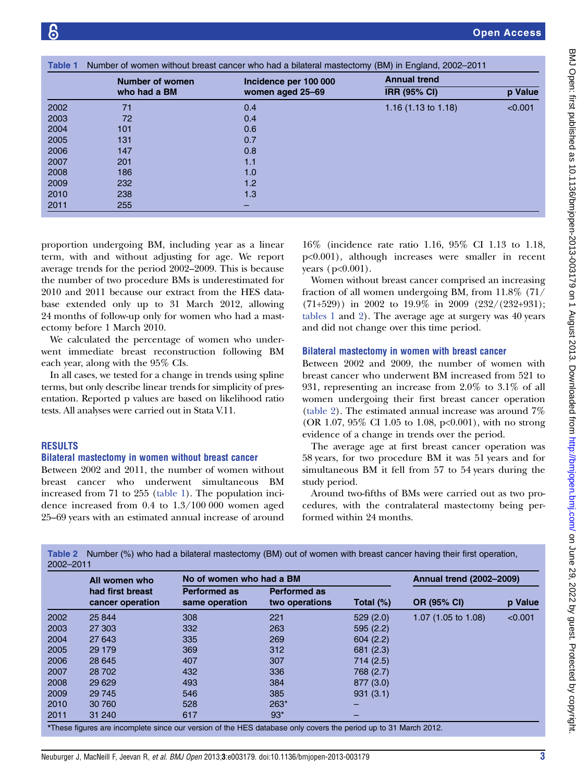| <b>Table 1</b> | Number of women without breast cancer who had a bilateral mastectomy (BM) in England, 2002–2011 |                                           |                                            |         |  |
|----------------|-------------------------------------------------------------------------------------------------|-------------------------------------------|--------------------------------------------|---------|--|
|                | <b>Number of women</b><br>who had a BM                                                          | Incidence per 100 000<br>women aged 25-69 | <b>Annual trend</b><br><b>IRR (95% CI)</b> | p Value |  |
| 2002           | 71                                                                                              | 0.4                                       | $1.16(1.13 \text{ to } 1.18)$              | < 0.001 |  |
| 2003           | 72                                                                                              | 0.4                                       |                                            |         |  |
| 2004           | 101                                                                                             | 0.6                                       |                                            |         |  |
| 2005           | 131                                                                                             | 0.7                                       |                                            |         |  |
| 2006           | 147                                                                                             | 0.8                                       |                                            |         |  |
| 2007           | 201                                                                                             | 1.1                                       |                                            |         |  |
| 2008           | 186                                                                                             | 1.0                                       |                                            |         |  |
| 2009           | 232                                                                                             | 1.2                                       |                                            |         |  |
| 2010           | 238                                                                                             | 1.3                                       |                                            |         |  |
| 2011           | 255                                                                                             |                                           |                                            |         |  |

proportion undergoing BM, including year as a linear term, with and without adjusting for age. We report average trends for the period 2002–2009. This is because the number of two procedure BMs is underestimated for 2010 and 2011 because our extract from the HES database extended only up to 31 March 2012, allowing 24 months of follow-up only for women who had a mastectomy before 1 March 2010.

We calculated the percentage of women who underwent immediate breast reconstruction following BM each year, along with the 95% CIs.

In all cases, we tested for a change in trends using spline terms, but only describe linear trends for simplicity of presentation. Reported p values are based on likelihood ratio tests. All analyses were carried out in Stata V.11.

## RESULTS

#### Bilateral mastectomy in women without breast cancer

Between 2002 and 2011, the number of women without breast cancer who underwent simultaneous BM increased from 71 to 255 (table 1). The population incidence increased from 0.4 to 1.3/100 000 women aged 25–69 years with an estimated annual increase of around

16% (incidence rate ratio 1.16, 95% CI 1.13 to 1.18, p<0.001), although increases were smaller in recent years  $(p<0.001)$ .

Women without breast cancer comprised an increasing fraction of all women undergoing BM, from 11.8% (71/ (71+529)) in 2002 to 19.9% in 2009 (232/(232+931); tables 1 and 2). The average age at surgery was 40 years and did not change over this time period.

#### Bilateral mastectomy in women with breast cancer

Between 2002 and 2009, the number of women with breast cancer who underwent BM increased from 521 to 931, representing an increase from 2.0% to 3.1% of all women undergoing their first breast cancer operation (table 2). The estimated annual increase was around 7% (OR 1.07, 95% CI 1.05 to 1.08, p<0.001), with no strong evidence of a change in trends over the period.

The average age at first breast cancer operation was 58 years, for two procedure BM it was 51 years and for simultaneous BM it fell from 57 to 54 years during the study period.

Around two-fifths of BMs were carried out as two procedures, with the contralateral mastectomy being performed within 24 months.

|           | Table 2 Number (%) who had a bilateral mastectomy (BM) out of women with breast cancer having their first operation, |
|-----------|----------------------------------------------------------------------------------------------------------------------|
| 2002-2011 |                                                                                                                      |

|      | All women who                                                                                                  | No of women who had a BM              |                                       |              | <b>Annual trend (2002-2009)</b> |         |
|------|----------------------------------------------------------------------------------------------------------------|---------------------------------------|---------------------------------------|--------------|---------------------------------|---------|
|      | had first breast<br>cancer operation                                                                           | <b>Performed as</b><br>same operation | <b>Performed as</b><br>two operations | Total $(\%)$ | <b>OR (95% CI)</b>              | p Value |
| 2002 | 25 844                                                                                                         | 308                                   | 221                                   | 529(2.0)     | 1.07 $(1.05 \text{ to } 1.08)$  | < 0.001 |
| 2003 | 27 303                                                                                                         | 332                                   | 263                                   | 595(2.2)     |                                 |         |
| 2004 | 27 643                                                                                                         | 335                                   | 269                                   | 604(2.2)     |                                 |         |
| 2005 | 29 179                                                                                                         | 369                                   | 312                                   | 681 (2.3)    |                                 |         |
| 2006 | 28 645                                                                                                         | 407                                   | 307                                   | 714(2.5)     |                                 |         |
| 2007 | 28 702                                                                                                         | 432                                   | 336                                   | 768 (2.7)    |                                 |         |
| 2008 | 29 6 29                                                                                                        | 493                                   | 384                                   | 877 (3.0)    |                                 |         |
| 2009 | 29 745                                                                                                         | 546                                   | 385                                   | 931(3.1)     |                                 |         |
| 2010 | 30 760                                                                                                         | 528                                   | $263*$                                |              |                                 |         |
| 2011 | 31 240                                                                                                         | 617                                   | $93*$                                 |              |                                 |         |
|      | *These figures are incomplete since our version of the HES database only covers the period up to 31 March 2012 |                                       |                                       |              |                                 |         |

\*These figures are incomplete since our version of the HES database only covers the period up to 31 March 2012.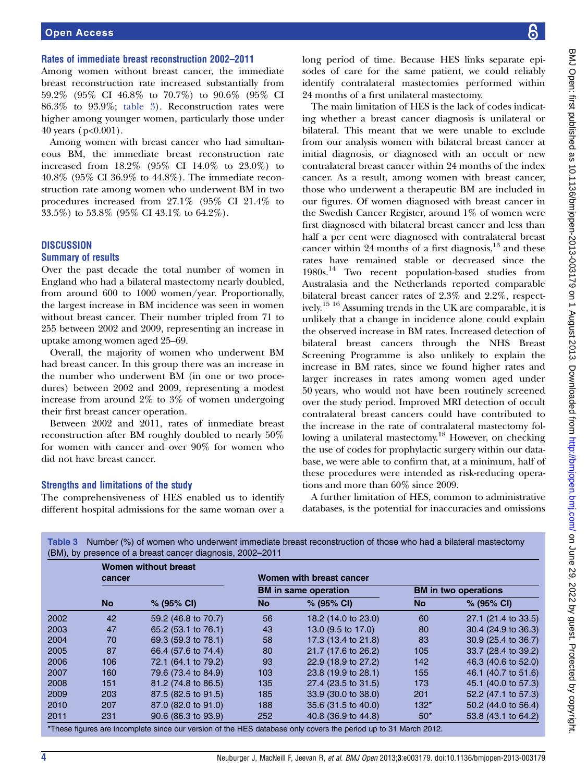# Rates of immediate breast reconstruction 2002–2011

Among women without breast cancer, the immediate breast reconstruction rate increased substantially from 59.2% (95% CI 46.8% to 70.7%) to 90.6% (95% CI 86.3% to 93.9%; table 3). Reconstruction rates were higher among younger women, particularly those under 40 years (p<0.001).

Among women with breast cancer who had simultaneous BM, the immediate breast reconstruction rate increased from 18.2% (95% CI 14.0% to 23.0%) to 40.8% (95% CI 36.9% to 44.8%). The immediate reconstruction rate among women who underwent BM in two procedures increased from 27.1% (95% CI 21.4% to 33.5%) to 53.8% (95% CI 43.1% to 64.2%).

# **DISCUSSION** Summary of results

Over the past decade the total number of women in England who had a bilateral mastectomy nearly doubled, from around 600 to 1000 women/year. Proportionally, the largest increase in BM incidence was seen in women without breast cancer. Their number tripled from 71 to 255 between 2002 and 2009, representing an increase in uptake among women aged 25–69.

Overall, the majority of women who underwent BM had breast cancer. In this group there was an increase in the number who underwent BM (in one or two procedures) between 2002 and 2009, representing a modest increase from around 2% to 3% of women undergoing their first breast cancer operation.

Between 2002 and 2011, rates of immediate breast reconstruction after BM roughly doubled to nearly 50% for women with cancer and over 90% for women who did not have breast cancer.

# Strengths and limitations of the study

The comprehensiveness of HES enabled us to identify different hospital admissions for the same woman over a long period of time. Because HES links separate episodes of care for the same patient, we could reliably identify contralateral mastectomies performed within 24 months of a first unilateral mastectomy.

The main limitation of HES is the lack of codes indicating whether a breast cancer diagnosis is unilateral or bilateral. This meant that we were unable to exclude from our analysis women with bilateral breast cancer at initial diagnosis, or diagnosed with an occult or new contralateral breast cancer within 24 months of the index cancer. As a result, among women with breast cancer, those who underwent a therapeutic BM are included in our figures. Of women diagnosed with breast cancer in the Swedish Cancer Register, around 1% of women were first diagnosed with bilateral breast cancer and less than half a per cent were diagnosed with contralateral breast cancer within 24 months of a first diagnosis, $^{13}$  and these rates have remained stable or decreased since the 1980s.<sup>14</sup> Two recent population-based studies from Australasia and the Netherlands reported comparable bilateral breast cancer rates of 2.3% and 2.2%, respectively.15 16 Assuming trends in the UK are comparable, it is unlikely that a change in incidence alone could explain the observed increase in BM rates. Increased detection of bilateral breast cancers through the NHS Breast Screening Programme is also unlikely to explain the increase in BM rates, since we found higher rates and larger increases in rates among women aged under 50 years, who would not have been routinely screened over the study period. Improved MRI detection of occult contralateral breast cancers could have contributed to the increase in the rate of contralateral mastectomy following a unilateral mastectomy.<sup>18</sup> However, on checking the use of codes for prophylactic surgery within our database, we were able to confirm that, at a minimum, half of these procedures were intended as risk-reducing operations and more than 60% since 2009.

A further limitation of HES, common to administrative databases, is the potential for inaccuracies and omissions

|                                                           | Table 3 Number (%) of women who underwent immediate breast reconstruction of those who had a bilateral mastectomy |
|-----------------------------------------------------------|-------------------------------------------------------------------------------------------------------------------|
| (BM), by presence of a breast cancer diagnosis, 2002-2011 |                                                                                                                   |

|      | cancer    | <b>Women without breast</b>                                                                                    |           | Women with breast cancer    |           |                             |  |
|------|-----------|----------------------------------------------------------------------------------------------------------------|-----------|-----------------------------|-----------|-----------------------------|--|
|      |           |                                                                                                                |           | <b>BM</b> in same operation |           | <b>BM</b> in two operations |  |
|      | <b>No</b> | % (95% CI)                                                                                                     | <b>No</b> | % (95% CI)                  | <b>No</b> | % (95% CI)                  |  |
| 2002 | 42        | 59.2 (46.8 to 70.7)                                                                                            | 56        | 18.2 (14.0 to 23.0)         | 60        | 27.1 (21.4 to 33.5)         |  |
| 2003 | 47        | 65.2 (53.1 to 76.1)                                                                                            | 43        | 13.0 (9.5 to 17.0)          | 80        | 30.4 (24.9 to 36.3)         |  |
| 2004 | 70        | 69.3 (59.3 to 78.1)                                                                                            | 58        | 17.3 (13.4 to 21.8)         | 83        | 30.9 (25.4 to 36.7)         |  |
| 2005 | 87        | 66.4 (57.6 to 74.4)                                                                                            | 80        | 21.7 (17.6 to 26.2)         | 105       | 33.7 (28.4 to 39.2)         |  |
| 2006 | 106       | 72.1 (64.1 to 79.2)                                                                                            | 93        | 22.9 (18.9 to 27.2)         | 142       | 46.3 (40.6 to 52.0)         |  |
| 2007 | 160       | 79.6 (73.4 to 84.9)                                                                                            | 103       | 23.8 (19.9 to 28.1)         | 155       | 46.1 (40.7 to 51.6)         |  |
| 2008 | 151       | 81.2 (74.8 to 86.5)                                                                                            | 135       | 27.4 (23.5 to 31.5)         | 173       | 45.1 (40.0 to 57.3)         |  |
| 2009 | 203       | 87.5 (82.5 to 91.5)                                                                                            | 185       | 33.9 (30.0 to 38.0)         | 201       | 52.2 (47.1 to 57.3)         |  |
| 2010 | 207       | 87.0 (82.0 to 91.0)                                                                                            | 188       | 35.6 (31.5 to 40.0)         | $132*$    | 50.2 (44.0 to 56.4)         |  |
| 2011 | 231       | 90.6 (86.3 to 93.9)                                                                                            | 252       | 40.8 (36.9 to 44.8)         | $50*$     | 53.8 (43.1 to 64.2)         |  |
|      |           | *These figures are incomplete since our version of the HES detabase only sovere the period up to 21 March 2012 |           |                             |           |                             |  |

\*These figures are incomplete since our version of the HES database only covers the period up to 31 March 2012.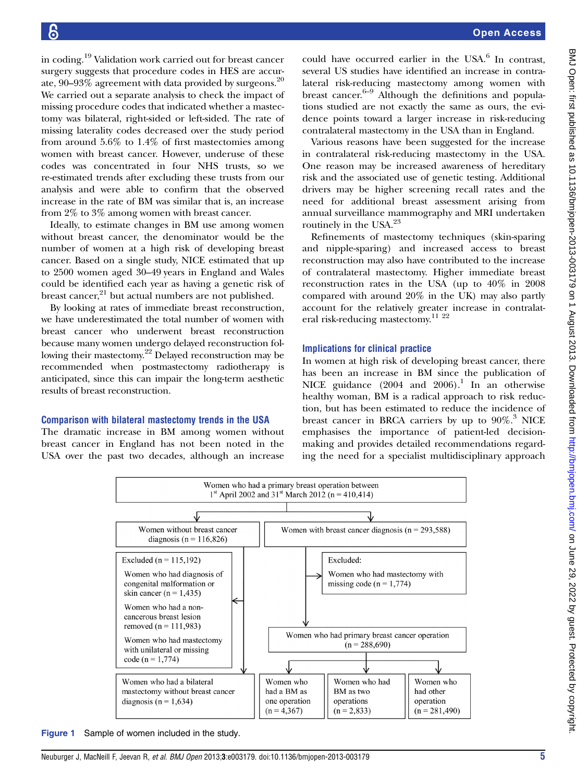in coding.<sup>19</sup> Validation work carried out for breast cancer surgery suggests that procedure codes in HES are accurate, 90–93% agreement with data provided by surgeons.20 We carried out a separate analysis to check the impact of missing procedure codes that indicated whether a mastectomy was bilateral, right-sided or left-sided. The rate of missing laterality codes decreased over the study period from around 5.6% to 1.4% of first mastectomies among women with breast cancer. However, underuse of these codes was concentrated in four NHS trusts, so we re-estimated trends after excluding these trusts from our analysis and were able to confirm that the observed increase in the rate of BM was similar that is, an increase from 2% to 3% among women with breast cancer.

Ideally, to estimate changes in BM use among women without breast cancer, the denominator would be the number of women at a high risk of developing breast cancer. Based on a single study, NICE estimated that up to 2500 women aged 30–49 years in England and Wales could be identified each year as having a genetic risk of breast cancer, $21$  but actual numbers are not published.

By looking at rates of immediate breast reconstruction, we have underestimated the total number of women with breast cancer who underwent breast reconstruction because many women undergo delayed reconstruction following their mastectomy.<sup>22</sup> Delayed reconstruction may be recommended when postmastectomy radiotherapy is anticipated, since this can impair the long-term aesthetic results of breast reconstruction.

#### Comparison with bilateral mastectomy trends in the USA

The dramatic increase in BM among women without breast cancer in England has not been noted in the USA over the past two decades, although an increase

could have occurred earlier in the USA.<sup>6</sup> In contrast, several US studies have identified an increase in contralateral risk-reducing mastectomy among women with breast cancer. $6-9$  Although the definitions and populations studied are not exactly the same as ours, the evidence points toward a larger increase in risk-reducing contralateral mastectomy in the USA than in England.

Various reasons have been suggested for the increase in contralateral risk-reducing mastectomy in the USA. One reason may be increased awareness of hereditary risk and the associated use of genetic testing. Additional drivers may be higher screening recall rates and the need for additional breast assessment arising from annual surveillance mammography and MRI undertaken routinely in the USA.<sup>23</sup>

Refinements of mastectomy techniques (skin-sparing and nipple-sparing) and increased access to breast reconstruction may also have contributed to the increase of contralateral mastectomy. Higher immediate breast reconstruction rates in the USA (up to 40% in 2008 compared with around 20% in the UK) may also partly account for the relatively greater increase in contralateral risk-reducing mastectomy.11 22

#### Implications for clinical practice

In women at high risk of developing breast cancer, there has been an increase in BM since the publication of NICE guidance  $(2004 \text{ and } 2006)^{1}$  In an otherwise healthy woman, BM is a radical approach to risk reduction, but has been estimated to reduce the incidence of breast cancer in BRCA carriers by up to  $90\%$ .<sup>3</sup> NICE emphasises the importance of patient-led decisionmaking and provides detailed recommendations regarding the need for a specialist multidisciplinary approach



Figure 1 Sample of women included in the study.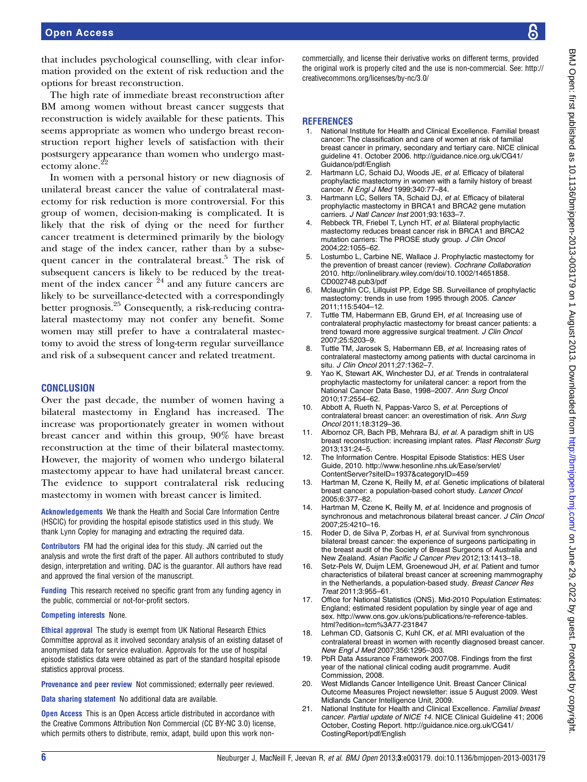that includes psychological counselling, with clear information provided on the extent of risk reduction and the options for breast reconstruction.

The high rate of immediate breast reconstruction after BM among women without breast cancer suggests that reconstruction is widely available for these patients. This seems appropriate as women who undergo breast reconstruction report higher levels of satisfaction with their postsurgery appearance than women who undergo mastectomy alone.

In women with a personal history or new diagnosis of unilateral breast cancer the value of contralateral mastectomy for risk reduction is more controversial. For this group of women, decision-making is complicated. It is likely that the risk of dying or the need for further cancer treatment is determined primarily by the biology and stage of the index cancer, rather than by a subsequent cancer in the contralateral breast.<sup>5</sup> The risk of subsequent cancers is likely to be reduced by the treatment of the index cancer  $\frac{24}{1}$  and any future cancers are likely to be surveillance-detected with a correspondingly better prognosis.<sup>25</sup> Consequently, a risk-reducing contralateral mastectomy may not confer any benefit. Some women may still prefer to have a contralateral mastectomy to avoid the stress of long-term regular surveillance and risk of a subsequent cancer and related treatment.

## **CONCLUSION**

Over the past decade, the number of women having a bilateral mastectomy in England has increased. The increase was proportionately greater in women without breast cancer and within this group, 90% have breast reconstruction at the time of their bilateral mastectomy. However, the majority of women who undergo bilateral mastectomy appear to have had unilateral breast cancer. The evidence to support contralateral risk reducing mastectomy in women with breast cancer is limited.

Acknowledgements We thank the Health and Social Care Information Centre (HSCIC) for providing the hospital episode statistics used in this study. We thank Lynn Copley for managing and extracting the required data.

Contributors FM had the original idea for this study. JN carried out the analysis and wrote the first draft of the paper. All authors contributed to study design, interpretation and writing. DAC is the guarantor. All authors have read and approved the final version of the manuscript.

Funding This research received no specific grant from any funding agency in the public, commercial or not-for-profit sectors.

#### Competing interests None.

Ethical approval The study is exempt from UK National Research Ethics Committee approval as it involved secondary analysis of an existing dataset of anonymised data for service evaluation. Approvals for the use of hospital episode statistics data were obtained as part of the standard hospital episode statistics approval process.

**Provenance and peer review** Not commissioned; externally peer reviewed.

Data sharing statement No additional data are available.

**Open Access** This is an Open Access article distributed in accordance with the Creative Commons Attribution Non Commercial (CC BY-NC 3.0) license, which permits others to distribute, remix, adapt, build upon this work noncommercially, and license their derivative works on different terms, provided the original work is properly cited and the use is non-commercial. See: [http://](http://creativecommons.org/licenses/by-nc/3.0/) [creativecommons.org/licenses/by-nc/3.0/](http://creativecommons.org/licenses/by-nc/3.0/)

### REFERENCES

- 1. National Institute for Health and Clinical Excellence. Familial breast cancer: The classification and care of women at risk of familial breast cancer in primary, secondary and tertiary care. NICE clinical guideline 41. October 2006. [http://guidance.nice.org.uk/CG41/](http://guidance.nice.org.uk/CG41/Guidance/pdf/English) [Guidance/pdf/English](http://guidance.nice.org.uk/CG41/Guidance/pdf/English)
- 2. Hartmann LC, Schaid DJ, Woods JE, et al. Efficacy of bilateral prophylactic mastectomy in women with a family history of breast cancer. N Engl J Med 1999;340:77–84.
- 3. Hartmann LC, Sellers TA, Schaid DJ, et al. Efficacy of bilateral prophylactic mastectomy in BRCA1 and BRCA2 gene mutation carriers. J Natl Cancer Inst 2001;93:1633–7.
- 4. Rebbeck TR, Friebel T, Lynch HT, et al. Bilateral prophylactic mastectomy reduces breast cancer risk in BRCA1 and BRCA2 mutation carriers: The PROSE study group. J Clin Oncol 2004;22:1055–62.
- 5. Lostumbo L, Carbine NE, Wallace J. Prophylactic mastectomy for the prevention of breast cancer (review). Cochrane Collaboration 2010. [http://onlinelibrary.wiley.com/doi/10.1002/14651858.](http://onlinelibrary.wiley.com/doi/10.1002/14651858.CD002748.pub3/pdf) [CD002748.pub3/pdf](http://onlinelibrary.wiley.com/doi/10.1002/14651858.CD002748.pub3/pdf)
- Mclaughlin CC, Lillquist PP, Edge SB. Surveillance of prophylactic mastectomy: trends in use from 1995 through 2005. Cancer 2011;115:5404–12.
- 7. Tuttle TM, Habermann EB, Grund EH, et al. Increasing use of contralateral prophylactic mastectomy for breast cancer patients: a trend toward more aggressive surgical treatment. J Clin Oncol 2007;25:5203–9.
- Tuttle TM, Jarosek S, Habermann EB, et al. Increasing rates of contralateral mastectomy among patients with ductal carcinoma in situ. J Clin Oncol 2011;27:1362-7.
- 9. Yao K, Stewart AK, Winchester DJ, et al. Trends in contralateral prophylactic mastectomy for unilateral cancer: a report from the National Cancer Data Base, 1998–2007. Ann Surg Oncol 2010;17:2554–62.
- 10. Abbott A, Rueth N, Pappas-Varco S, et al. Perceptions of contralateral breast cancer: an overestimation of risk. Ann Surg Oncol 2011;18:3129–36.
- 11. Albornoz CR, Bach PB, Mehrara BJ, et al. A paradigm shift in US breast reconstruction: increasing implant rates. Plast Reconstr Surg 2013;131:24–5.
- 12. The Information Centre. Hospital Episode Statistics: HES User Guide, 2010. [http://www.hesonline.nhs.uk/Ease/servlet/](http://www.hesonline.nhs.uk/Ease/servlet/ContentServer?siteID=1937&categoryID=459) [ContentServer?siteID=1937&categoryID=459](http://www.hesonline.nhs.uk/Ease/servlet/ContentServer?siteID=1937&categoryID=459)
- 13. Hartman M, Czene K, Reilly M, et al. Genetic implications of bilateral breast cancer: a population-based cohort study. Lancet Oncol 2005;6:377–82.
- 14. Hartman M, Czene K, Reilly M, et al. Incidence and prognosis of synchronous and metachronous bilateral breast cancer. J Clin Oncol 2007;25:4210–16.
- 15. Roder D, de Silva P, Zorbas H, et al. Survival from synchronous bilateral breast cancer: the experience of surgeons participating in the breast audit of the Society of Breast Surgeons of Australia and New Zealand. Asian Pacific J Cancer Prev 2012;13:1413–18.
- 16. Setz-Pels W. Duijm LEM, Groenewoud JH, et al. Patient and tumor characteristics of bilateral breast cancer at screening mammography in the Netherlands, a population-based study. Breast Cancer Res Treat 2011;3:955–61.
- 17. Office for National Statistics (ONS). Mid-2010 Population Estimates: England; estimated resident population by single year of age and sex. [http://www.ons.gov.uk/ons/publications/re-reference-tables.](http://www.ons.gov.uk/ons/publications/re-reference-tables.html?edition=tcm%3A77-231847) [html?edition=tcm%3A77-231847](http://www.ons.gov.uk/ons/publications/re-reference-tables.html?edition=tcm%3A77-231847)
- 18. Lehman CD, Gatsonis C, Kuhl CK, et al. MRI evaluation of the contralateral breast in women with recently diagnosed breast cancer. New Engl J Med 2007;356:1295–303.
- 19. PbR Data Assurance Framework 2007/08. Findings from the first year of the national clinical coding audit programme. Audit Commission, 2008.
- 20. West Midlands Cancer Intelligence Unit. Breast Cancer Clinical Outcome Measures Project newsletter: issue 5 August 2009. West Midlands Cancer Intelligence Unit, 2009.
- 21. National Institute for Health and Clinical Excellence. Familial breast cancer. Partial update of NICE 14. NICE Clinical Guideline 41; 2006 October, Costing Report. [http://guidance.nice.org.uk/CG41/](http://guidance.nice.org.uk/CG41/CostingReport/pdf/English) [CostingReport/pdf/English](http://guidance.nice.org.uk/CG41/CostingReport/pdf/English)